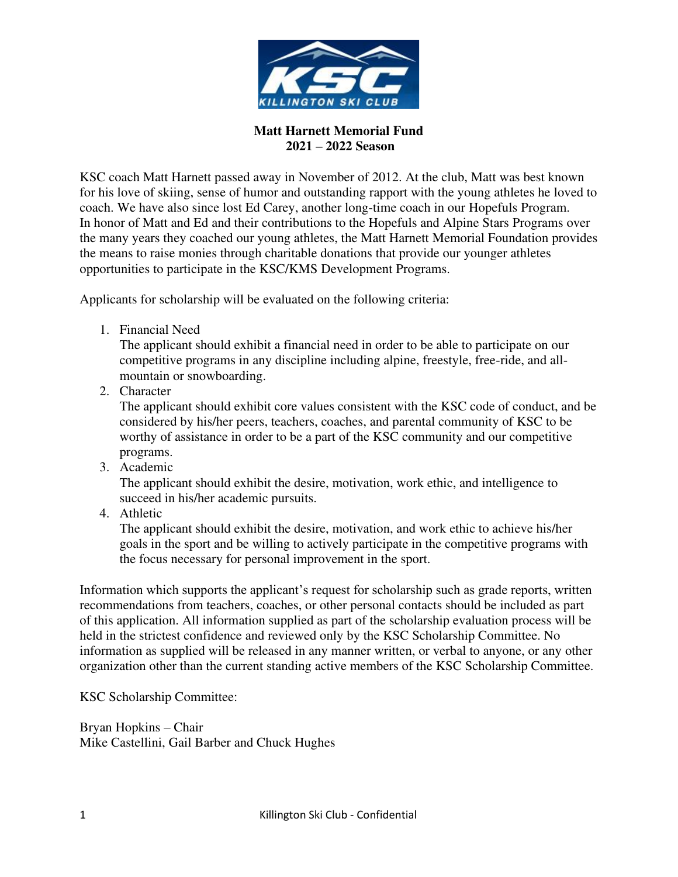

## **Matt Harnett Memorial Fund 2021 – 2022 Season**

KSC coach Matt Harnett passed away in November of 2012. At the club, Matt was best known for his love of skiing, sense of humor and outstanding rapport with the young athletes he loved to coach. We have also since lost Ed Carey, another long-time coach in our Hopefuls Program. In honor of Matt and Ed and their contributions to the Hopefuls and Alpine Stars Programs over the many years they coached our young athletes, the Matt Harnett Memorial Foundation provides the means to raise monies through charitable donations that provide our younger athletes opportunities to participate in the KSC/KMS Development Programs.

Applicants for scholarship will be evaluated on the following criteria:

1. Financial Need

The applicant should exhibit a financial need in order to be able to participate on our competitive programs in any discipline including alpine, freestyle, free-ride, and allmountain or snowboarding.

2. Character

The applicant should exhibit core values consistent with the KSC code of conduct, and be considered by his/her peers, teachers, coaches, and parental community of KSC to be worthy of assistance in order to be a part of the KSC community and our competitive programs.

3. Academic

The applicant should exhibit the desire, motivation, work ethic, and intelligence to succeed in his/her academic pursuits.

4. Athletic

The applicant should exhibit the desire, motivation, and work ethic to achieve his/her goals in the sport and be willing to actively participate in the competitive programs with the focus necessary for personal improvement in the sport.

Information which supports the applicant's request for scholarship such as grade reports, written recommendations from teachers, coaches, or other personal contacts should be included as part of this application. All information supplied as part of the scholarship evaluation process will be held in the strictest confidence and reviewed only by the KSC Scholarship Committee. No information as supplied will be released in any manner written, or verbal to anyone, or any other organization other than the current standing active members of the KSC Scholarship Committee.

KSC Scholarship Committee:

Bryan Hopkins – Chair Mike Castellini, Gail Barber and Chuck Hughes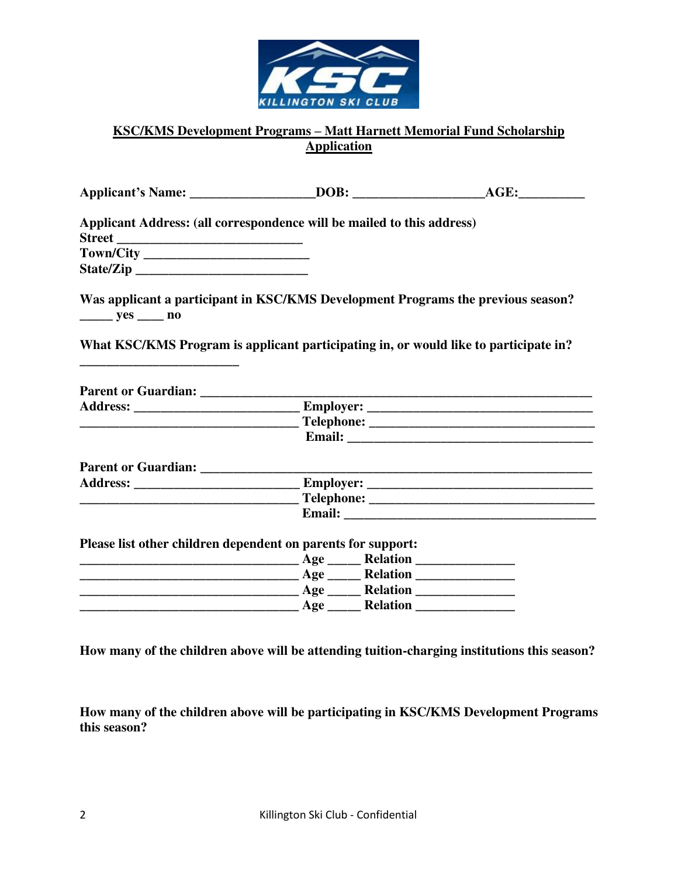

## **KSC/KMS Development Programs – Matt Harnett Memorial Fund Scholarship Application**

|                                        | Applicant's Name: _____________________DOB: _________________________AGE: __________________________ |  |
|----------------------------------------|------------------------------------------------------------------------------------------------------|--|
|                                        | Applicant Address: (all correspondence will be mailed to this address)                               |  |
|                                        |                                                                                                      |  |
|                                        |                                                                                                      |  |
| $\frac{\ }{\ }$ yes $\frac{\ }{\ }$ no | Was applicant a participant in KSC/KMS Development Programs the previous season?                     |  |
|                                        | What KSC/KMS Program is applicant participating in, or would like to participate in?                 |  |
|                                        |                                                                                                      |  |
|                                        |                                                                                                      |  |
|                                        |                                                                                                      |  |
|                                        |                                                                                                      |  |
|                                        |                                                                                                      |  |
|                                        |                                                                                                      |  |
|                                        |                                                                                                      |  |
|                                        |                                                                                                      |  |
|                                        | Please list other children dependent on parents for support:                                         |  |
|                                        |                                                                                                      |  |
|                                        |                                                                                                      |  |
|                                        |                                                                                                      |  |
|                                        |                                                                                                      |  |

**How many of the children above will be attending tuition-charging institutions this season?**

**How many of the children above will be participating in KSC/KMS Development Programs this season?**